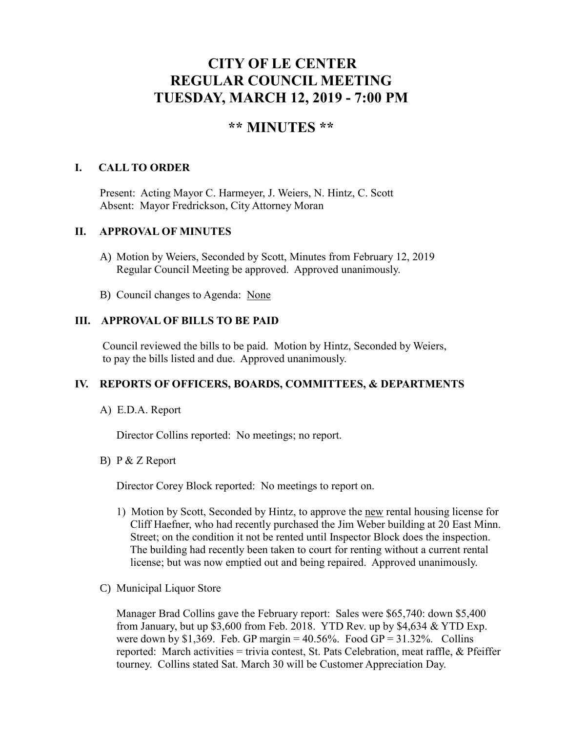# **CITY OF LE CENTER REGULAR COUNCIL MEETING TUESDAY, MARCH 12, 2019 - 7:00 PM**

# **\*\* MINUTES \*\***

#### **I. CALL TO ORDER**

Present: Acting Mayor C. Harmeyer, J. Weiers, N. Hintz, C. Scott Absent: Mayor Fredrickson, City Attorney Moran

#### **II. APPROVAL OF MINUTES**

- A) Motion by Weiers, Seconded by Scott, Minutes from February 12, 2019 Regular Council Meeting be approved. Approved unanimously.
- B) Council changes to Agenda: None

#### **III. APPROVAL OF BILLS TO BE PAID**

Council reviewed the bills to be paid. Motion by Hintz, Seconded by Weiers, to pay the bills listed and due. Approved unanimously.

#### **IV. REPORTS OF OFFICERS, BOARDS, COMMITTEES, & DEPARTMENTS**

A) E.D.A. Report

Director Collins reported: No meetings; no report.

#### B) P & Z Report

Director Corey Block reported: No meetings to report on.

- 1) Motion by Scott, Seconded by Hintz, to approve the new rental housing license for Cliff Haefner, who had recently purchased the Jim Weber building at 20 East Minn. Street; on the condition it not be rented until Inspector Block does the inspection. The building had recently been taken to court for renting without a current rental license; but was now emptied out and being repaired. Approved unanimously.
- C) Municipal Liquor Store

Manager Brad Collins gave the February report: Sales were \$65,740: down \$5,400 from January, but up  $$3,600$  from Feb. 2018. YTD Rev. up by  $$4,634 \&$  YTD Exp. were down by \$1,369. Feb. GP margin =  $40.56\%$ . Food GP =  $31.32\%$ . Collins reported: March activities = trivia contest, St. Pats Celebration, meat raffle, & Pfeiffer tourney. Collins stated Sat. March 30 will be Customer Appreciation Day.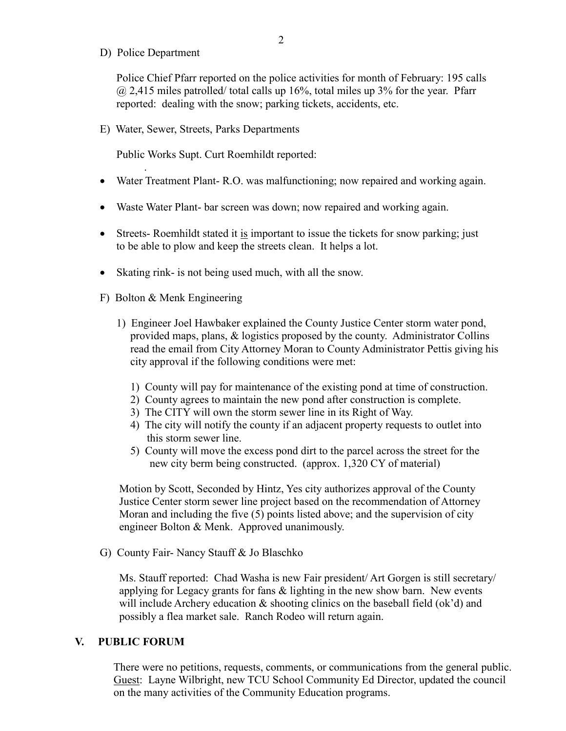D) Police Department

.

Police Chief Pfarr reported on the police activities for month of February: 195 calls  $@$  2,415 miles patrolled/ total calls up 16%, total miles up 3% for the year. Pfarr reported: dealing with the snow; parking tickets, accidents, etc.

E) Water, Sewer, Streets, Parks Departments

Public Works Supt. Curt Roemhildt reported:

- Water Treatment Plant- R.O. was malfunctioning; now repaired and working again.
- Waste Water Plant- bar screen was down; now repaired and working again.
- Streets-Roemhildt stated it is important to issue the tickets for snow parking; just to be able to plow and keep the streets clean. It helps a lot.
- Skating rink- is not being used much, with all the snow.
- F) Bolton & Menk Engineering
	- 1) Engineer Joel Hawbaker explained the County Justice Center storm water pond, provided maps, plans, & logistics proposed by the county. Administrator Collins read the email from City Attorney Moran to County Administrator Pettis giving his city approval if the following conditions were met:
		- 1) County will pay for maintenance of the existing pond at time of construction.
		- 2) County agrees to maintain the new pond after construction is complete.
		- 3) The CITY will own the storm sewer line in its Right of Way.
		- 4) The city will notify the county if an adjacent property requests to outlet into this storm sewer line.
		- 5) County will move the excess pond dirt to the parcel across the street for the new city berm being constructed. (approx. 1,320 CY of material)

 Motion by Scott, Seconded by Hintz, Yes city authorizes approval of the County Justice Center storm sewer line project based on the recommendation of Attorney Moran and including the five (5) points listed above; and the supervision of city engineer Bolton & Menk. Approved unanimously.

G) County Fair- Nancy Stauff & Jo Blaschko

 Ms. Stauff reported: Chad Washa is new Fair president/ Art Gorgen is still secretary/ applying for Legacy grants for fans & lighting in the new show barn. New events will include Archery education & shooting clinics on the baseball field (ok'd) and possibly a flea market sale. Ranch Rodeo will return again.

#### **V. PUBLIC FORUM**

 There were no petitions, requests, comments, or communications from the general public. Guest: Layne Wilbright, new TCU School Community Ed Director, updated the council on the many activities of the Community Education programs.